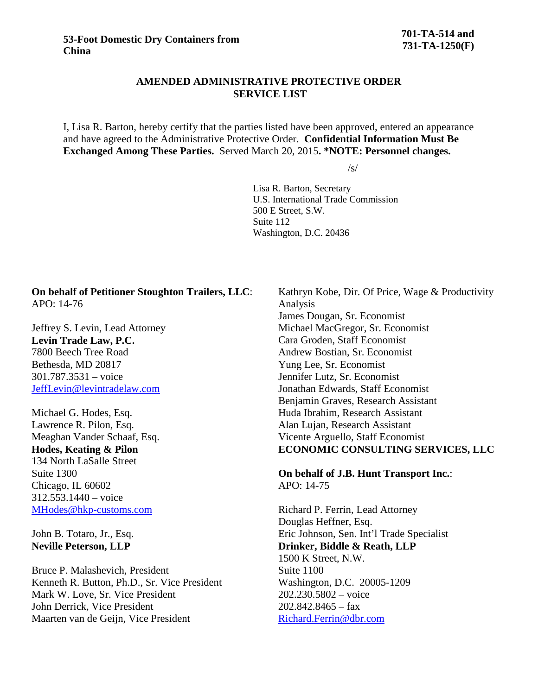## **AMENDED ADMINISTRATIVE PROTECTIVE ORDER SERVICE LIST**

I, Lisa R. Barton, hereby certify that the parties listed have been approved, entered an appearance and have agreed to the Administrative Protective Order. **Confidential Information Must Be Exchanged Among These Parties.** Served March 20, 2015**. \*NOTE: Personnel changes.**

 $\sqrt{s}$ 

Lisa R. Barton, Secretary U.S. International Trade Commission 500 E Street, S.W. Suite 112 Washington, D.C. 20436

## **On behalf of Petitioner Stoughton Trailers, LLC**: APO: 14-76

Jeffrey S. Levin, Lead Attorney **Levin Trade Law, P.C.** 7800 Beech Tree Road Bethesda, MD 20817 301.787.3531 – voice [JeffLevin@levintradelaw.com](mailto:JeffLevin@levintradelaw.com)

Michael G. Hodes, Esq. Lawrence R. Pilon, Esq. Meaghan Vander Schaaf, Esq. **Hodes, Keating & Pilon** 134 North LaSalle Street Suite 1300 Chicago, IL 60602 312.553.1440 – voice [MHodes@hkp-customs.com](mailto:MHodes@hkp-customs.com)

John B. Totaro, Jr., Esq. **Neville Peterson, LLP**

Bruce P. Malashevich, President Kenneth R. Button, Ph.D., Sr. Vice President Mark W. Love, Sr. Vice President John Derrick, Vice President Maarten van de Geijn, Vice President

Kathryn Kobe, Dir. Of Price, Wage & Productivity Analysis James Dougan, Sr. Economist Michael MacGregor, Sr. Economist Cara Groden, Staff Economist Andrew Bostian, Sr. Economist Yung Lee, Sr. Economist Jennifer Lutz, Sr. Economist Jonathan Edwards, Staff Economist Benjamin Graves, Research Assistant Huda Ibrahim, Research Assistant Alan Lujan, Research Assistant Vicente Arguello, Staff Economist **ECONOMIC CONSULTING SERVICES, LLC**

**On behalf of J.B. Hunt Transport Inc.**: APO: 14-75

Richard P. Ferrin, Lead Attorney Douglas Heffner, Esq. Eric Johnson, Sen. Int'l Trade Specialist **Drinker, Biddle & Reath, LLP** 1500 K Street, N.W. Suite 1100 Washington, D.C. 20005-1209 202.230.5802 – voice  $202.842.8465 - fax$ [Richard.Ferrin@dbr.com](mailto:Richard.Ferrin@dbr.com)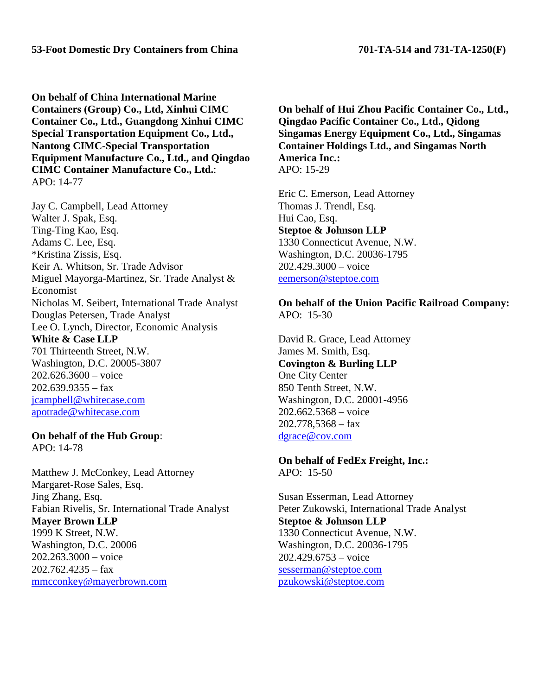**On behalf of China International Marine Containers (Group) Co., Ltd, Xinhui CIMC Container Co., Ltd., Guangdong Xinhui CIMC Special Transportation Equipment Co., Ltd., Nantong CIMC-Special Transportation Equipment Manufacture Co., Ltd., and Qingdao CIMC Container Manufacture Co., Ltd.**: APO: 14-77

Jay C. Campbell, Lead Attorney Walter J. Spak, Esq. Ting-Ting Kao, Esq. Adams C. Lee, Esq. \*Kristina Zissis, Esq. Keir A. Whitson, Sr. Trade Advisor Miguel Mayorga-Martinez, Sr. Trade Analyst & Economist Nicholas M. Seibert, International Trade Analyst Douglas Petersen, Trade Analyst Lee O. Lynch, Director, Economic Analysis **White & Case LLP** 701 Thirteenth Street, N.W.

Washington, D.C. 20005-3807 202.626.3600 – voice  $202.639.9355 - fax$ [jcampbell@whitecase.com](mailto:fmorgan@whitecase.com) [apotrade@whitecase.com](mailto:apotrade@whitecase.com)

**On behalf of the Hub Group**: APO: 14-78

Matthew J. McConkey, Lead Attorney Margaret-Rose Sales, Esq. Jing Zhang, Esq. Fabian Rivelis, Sr. International Trade Analyst **Mayer Brown LLP** 1999 K Street, N.W. Washington, D.C. 20006 202.263.3000 – voice  $202.762.4235 - fax$ [mmcconkey@mayerbrown.com](mailto:mmcconkey@mayerbrown.com)

**On behalf of Hui Zhou Pacific Container Co., Ltd., Qingdao Pacific Container Co., Ltd., Qidong Singamas Energy Equipment Co., Ltd., Singamas Container Holdings Ltd., and Singamas North America Inc.:** APO: 15-29

Eric C. Emerson, Lead Attorney Thomas J. Trendl, Esq. Hui Cao, Esq. **Steptoe & Johnson LLP** 1330 Connecticut Avenue, N.W. Washington, D.C. 20036-1795 202.429.3000 – voice [eemerson@steptoe.com](mailto:eemerson@steptoe.com)

## **On behalf of the Union Pacific Railroad Company:** APO: 15-30

David R. Grace, Lead Attorney James M. Smith, Esq. **Covington & Burling LLP** One City Center 850 Tenth Street, N.W. Washington, D.C. 20001-4956 202.662.5368 – voice 202.778,5368 – fax [dgrace@cov.com](mailto:dgrace@cov.com)

**On behalf of FedEx Freight, Inc.:** APO: 15-50

Susan Esserman, Lead Attorney Peter Zukowski, International Trade Analyst **Steptoe & Johnson LLP** 1330 Connecticut Avenue, N.W. Washington, D.C. 20036-1795 202.429.6753 – voice [sesserman@steptoe.com](mailto:sesserman@steptoe.com) [pzukowski@steptoe.com](mailto:pzukowski@steptoe.com)